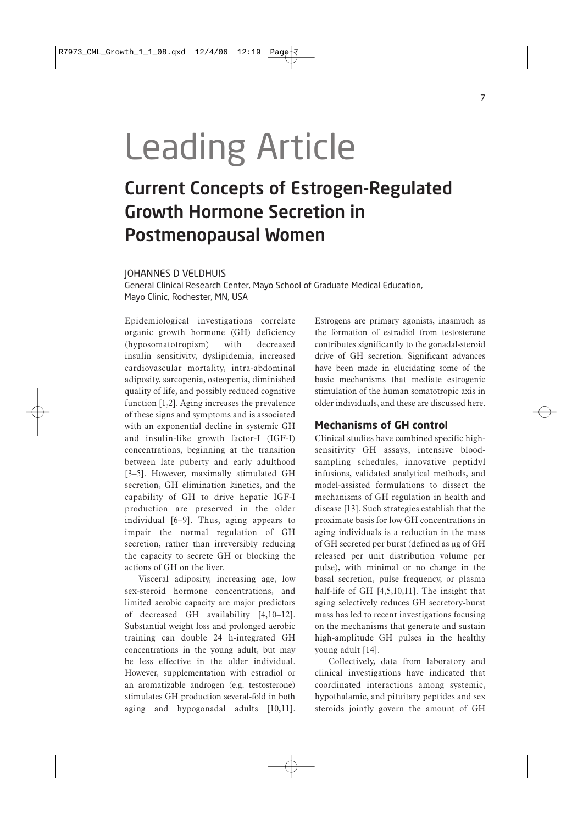# Leading Article

## Current Concepts of Estrogen-Regulated Growth Hormone Secretion in Postmenopausal Women

#### JOHANNES D VELDHUIS

General Clinical Research Center, Mayo School of Graduate Medical Education, Mayo Clinic, Rochester, MN, USA

Epidemiological investigations correlate organic growth hormone (GH) deficiency (hyposomatotropism) with decreased insulin sensitivity, dyslipidemia, increased cardiovascular mortality, intra-abdominal adiposity, sarcopenia, osteopenia, diminished quality of life, and possibly reduced cognitive function [1,2]. Aging increases the prevalence of these signs and symptoms and is associated with an exponential decline in systemic GH and insulin-like growth factor-I (IGF-I) concentrations, beginning at the transition between late puberty and early adulthood [3–5]. However, maximally stimulated GH secretion, GH elimination kinetics, and the capability of GH to drive hepatic IGF-I production are preserved in the older individual [6–9]. Thus, aging appears to impair the normal regulation of GH secretion, rather than irreversibly reducing the capacity to secrete GH or blocking the actions of GH on the liver.

Visceral adiposity, increasing age, low sex-steroid hormone concentrations, and limited aerobic capacity are major predictors of decreased GH availability [4,10–12]. Substantial weight loss and prolonged aerobic training can double 24 h-integrated GH concentrations in the young adult, but may be less effective in the older individual. However, supplementation with estradiol or an aromatizable androgen (e.g. testosterone) stimulates GH production several-fold in both aging and hypogonadal adults [10,11].

Estrogens are primary agonists, inasmuch as the formation of estradiol from testosterone contributes significantly to the gonadal-steroid drive of GH secretion. Significant advances have been made in elucidating some of the basic mechanisms that mediate estrogenic stimulation of the human somatotropic axis in older individuals, and these are discussed here.

#### **Mechanisms of GH control**

Clinical studies have combined specific highsensitivity GH assays, intensive bloodsampling schedules, innovative peptidyl infusions, validated analytical methods, and model-assisted formulations to dissect the mechanisms of GH regulation in health and disease [13]. Such strategies establish that the proximate basis for low GH concentrations in aging individuals is a reduction in the mass of GH secreted per burst (defined as μg of GH released per unit distribution volume per pulse), with minimal or no change in the basal secretion, pulse frequency, or plasma half-life of GH [4,5,10,11]. The insight that aging selectively reduces GH secretory-burst mass has led to recent investigations focusing on the mechanisms that generate and sustain high-amplitude GH pulses in the healthy young adult [14].

Collectively, data from laboratory and clinical investigations have indicated that coordinated interactions among systemic, hypothalamic, and pituitary peptides and sex steroids jointly govern the amount of GH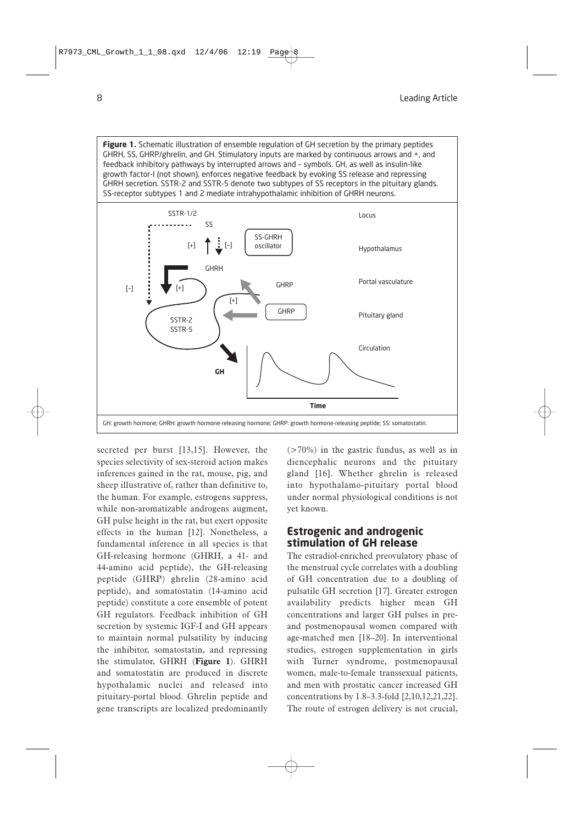**Figure 1.** Schematic illustration of ensemble regulation of GH secretion by the primary peptides GHRH, SS, GHRP/ghrelin, and GH. Stimulatory inputs are marked by continuous arrows and +, and feedback inhibitory pathways by interrupted arrows and – symbols. GH, as well as insulin-like growth factor-I (not shown), enforces negative feedback by evoking SS release and repressing GHRH secretion. SSTR-2 and SSTR-5 denote two subtypes of SS receptors in the pituitary glands. SS-receptor subtypes 1 and 2 mediate intrahypothalamic inhibition of GHRH neurons.



secreted per burst [13,15]. However, the species selectivity of sex-steroid action makes inferences gained in the rat, mouse, pig, and sheep illustrative of, rather than definitive to, the human. For example, estrogens suppress, while non-aromatizable androgens augment, GH pulse height in the rat, but exert opposite effects in the human [12]. Nonetheless, a fundamental inference in all species is that GH-releasing hormone (GHRH, a 41- and 44-amino acid peptide), the GH-releasing peptide (GHRP) ghrelin (28-amino acid peptide), and somatostatin (14-amino acid peptide) constitute a core ensemble of potent GH regulators. Feedback inhibition of GH secretion by systemic IGF-I and GH appears to maintain normal pulsatility by inducing the inhibitor, somatostatin, and repressing the stimulator, GHRH (**Figure 1**). GHRH and somatostatin are produced in discrete hypothalamic nuclei and released into pituitary-portal blood. Ghrelin peptide and gene transcripts are localized predominantly

 $($ >70%) in the gastric fundus, as well as in diencephalic neurons and the pituitary gland [16]. Whether ghrelin is released into hypothalamo-pituitary portal blood under normal physiological conditions is not yet known.

#### **Estrogenic and androgenic stimulation of GH release**

The estradiol-enriched preovulatory phase of the menstrual cycle correlates with a doubling of GH concentration due to a doubling of pulsatile GH secretion [17]. Greater estrogen availability predicts higher mean GH concentrations and larger GH pulses in preand postmenopausal women compared with age-matched men [18–20]. In interventional studies, estrogen supplementation in girls with Turner syndrome, postmenopausal women, male-to-female transsexual patients, and men with prostatic cancer increased GH concentrations by 1.8–3.3-fold [2,10,12,21,22]. The route of estrogen delivery is not crucial,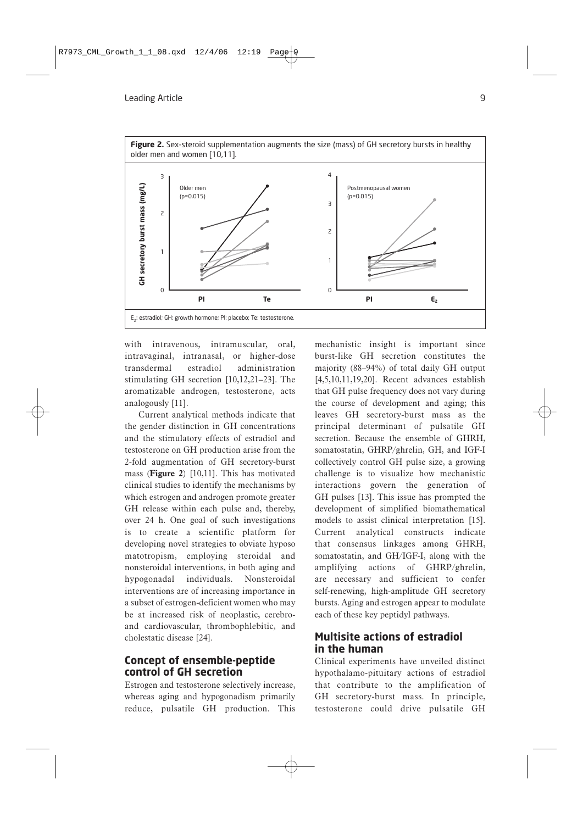

with intravenous, intramuscular, oral, intravaginal, intranasal, or higher-dose transdermal estradiol administration stimulating GH secretion [10,12,21–23]. The aromatizable androgen, testosterone, acts analogously [11].

Current analytical methods indicate that the gender distinction in GH concentrations and the stimulatory effects of estradiol and testosterone on GH production arise from the 2-fold augmentation of GH secretory-burst mass (**Figure 2**) [10,11]. This has motivated clinical studies to identify the mechanisms by which estrogen and androgen promote greater GH release within each pulse and, thereby, over 24 h. One goal of such investigations is to create a scientific platform for developing novel strategies to obviate hyposo matotropism, employing steroidal and nonsteroidal interventions, in both aging and hypogonadal individuals. Nonsteroidal interventions are of increasing importance in a subset of estrogen-deficient women who may be at increased risk of neoplastic, cerebroand cardiovascular, thrombophlebitic, and cholestatic disease [24].

#### **Concept of ensemble-peptide control of GH secretion**

Estrogen and testosterone selectively increase, whereas aging and hypogonadism primarily reduce, pulsatile GH production. This

mechanistic insight is important since burst-like GH secretion constitutes the majority (88–94%) of total daily GH output [4,5,10,11,19,20]. Recent advances establish that GH pulse frequency does not vary during the course of development and aging; this leaves GH secretory-burst mass as the principal determinant of pulsatile GH secretion. Because the ensemble of GHRH, somatostatin, GHRP/ghrelin, GH, and IGF-I collectively control GH pulse size, a growing challenge is to visualize how mechanistic interactions govern the generation of GH pulses [13]. This issue has prompted the development of simplified biomathematical models to assist clinical interpretation [15]. Current analytical constructs indicate that consensus linkages among GHRH, somatostatin, and GH/IGF-I, along with the amplifying actions of GHRP/ghrelin, are necessary and sufficient to confer self-renewing, high-amplitude GH secretory bursts. Aging and estrogen appear to modulate each of these key peptidyl pathways.

#### **Multisite actions of estradiol in the human**

Clinical experiments have unveiled distinct hypothalamo-pituitary actions of estradiol that contribute to the amplification of GH secretory-burst mass. In principle, testosterone could drive pulsatile GH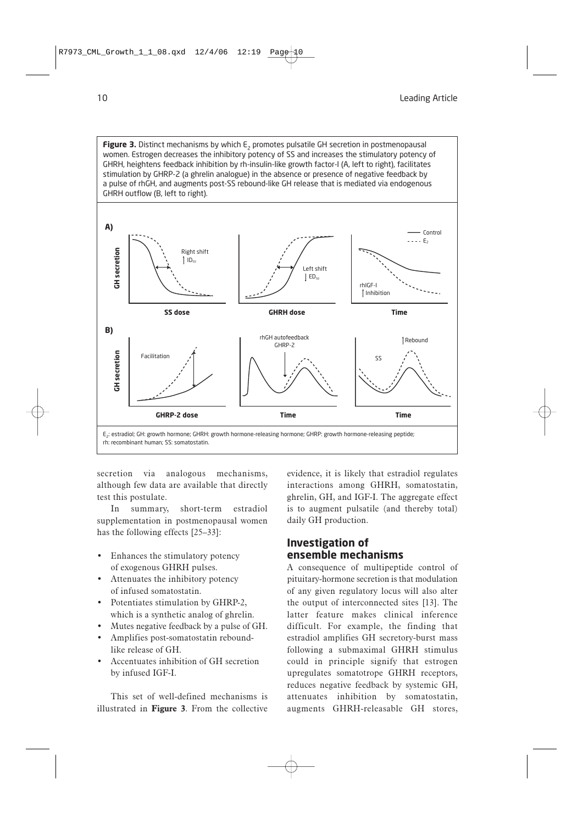**Figure 3.** Distinct mechanisms by which E<sub>2</sub> promotes pulsatile GH secretion in postmenopausal women. Estrogen decreases the inhibitory potency of SS and increases the stimulatory potency of GHRH, heightens feedback inhibition by rh-insulin-like growth factor-I (A, left to right), facilitates stimulation by GHRP-2 (a ghrelin analogue) in the absence or presence of negative feedback by a pulse of rhGH, and augments post-SS rebound-like GH release that is mediated via endogenous GHRH outflow (B, left to right).



secretion via analogous mechanisms, although few data are available that directly test this postulate.

In summary, short-term estradiol supplementation in postmenopausal women has the following effects [25–33]:

- Enhances the stimulatory potency of exogenous GHRH pulses.
- Attenuates the inhibitory potency of infused somatostatin.
- Potentiates stimulation by GHRP-2, which is a synthetic analog of ghrelin.
- Mutes negative feedback by a pulse of GH.
- Amplifies post-somatostatin reboundlike release of GH.
- Accentuates inhibition of GH secretion by infused IGF-I.

This set of well-defined mechanisms is illustrated in **Figure 3**. From the collective evidence, it is likely that estradiol regulates interactions among GHRH, somatostatin, ghrelin, GH, and IGF-I. The aggregate effect is to augment pulsatile (and thereby total) daily GH production.

### **Investigation of ensemble mechanisms**

A consequence of multipeptide control of pituitary-hormone secretion is that modulation of any given regulatory locus will also alter the output of interconnected sites [13]. The latter feature makes clinical inference difficult. For example, the finding that estradiol amplifies GH secretory-burst mass following a submaximal GHRH stimulus could in principle signify that estrogen upregulates somatotrope GHRH receptors, reduces negative feedback by systemic GH, attenuates inhibition by somatostatin, augments GHRH-releasable GH stores,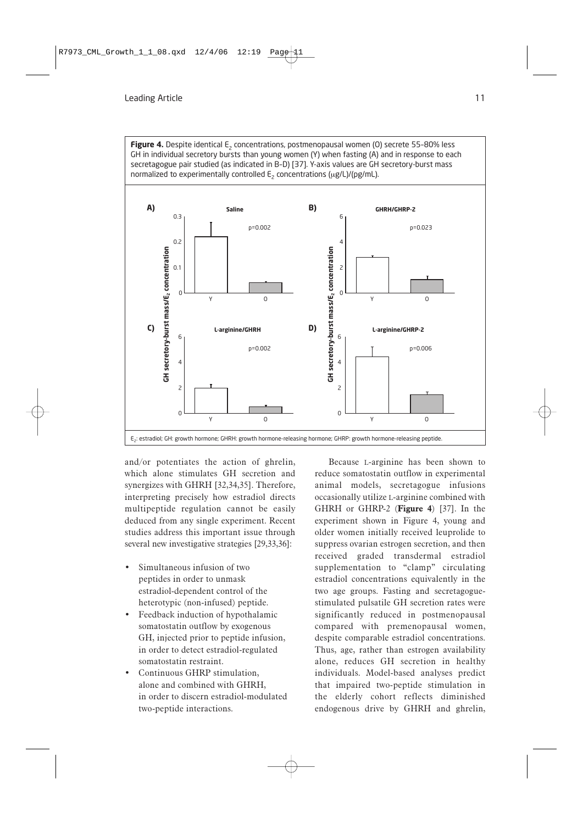Figure 4. Despite identical E<sub>2</sub> concentrations, postmenopausal women (O) secrete 55-80% less GH in individual secretory bursts than young women (Y) when fasting (A) and in response to each secretagogue pair studied (as indicated in B–D) [37]. Y-axis values are GH secretory-burst mass normalized to experimentally controlled  $E_2$  concentrations ( $\mu$ g/L)/(pg/mL).



and/or potentiates the action of ghrelin, which alone stimulates GH secretion and synergizes with GHRH [32,34,35]. Therefore, interpreting precisely how estradiol directs multipeptide regulation cannot be easily deduced from any single experiment. Recent studies address this important issue through several new investigative strategies [29,33,36]:

- Simultaneous infusion of two peptides in order to unmask estradiol-dependent control of the heterotypic (non-infused) peptide.
- Feedback induction of hypothalamic somatostatin outflow by exogenous GH, injected prior to peptide infusion, in order to detect estradiol-regulated somatostatin restraint.
- Continuous GHRP stimulation, alone and combined with GHRH, in order to discern estradiol-modulated two-peptide interactions.

Because L-arginine has been shown to reduce somatostatin outflow in experimental animal models, secretagogue infusions occasionally utilize L-arginine combined with GHRH or GHRP-2 (**Figure 4**) [37]. In the experiment shown in Figure 4, young and older women initially received leuprolide to suppress ovarian estrogen secretion, and then received graded transdermal estradiol supplementation to "clamp" circulating estradiol concentrations equivalently in the two age groups. Fasting and secretagoguestimulated pulsatile GH secretion rates were significantly reduced in postmenopausal compared with premenopausal women, despite comparable estradiol concentrations. Thus, age, rather than estrogen availability alone, reduces GH secretion in healthy individuals. Model-based analyses predict that impaired two-peptide stimulation in the elderly cohort reflects diminished endogenous drive by GHRH and ghrelin,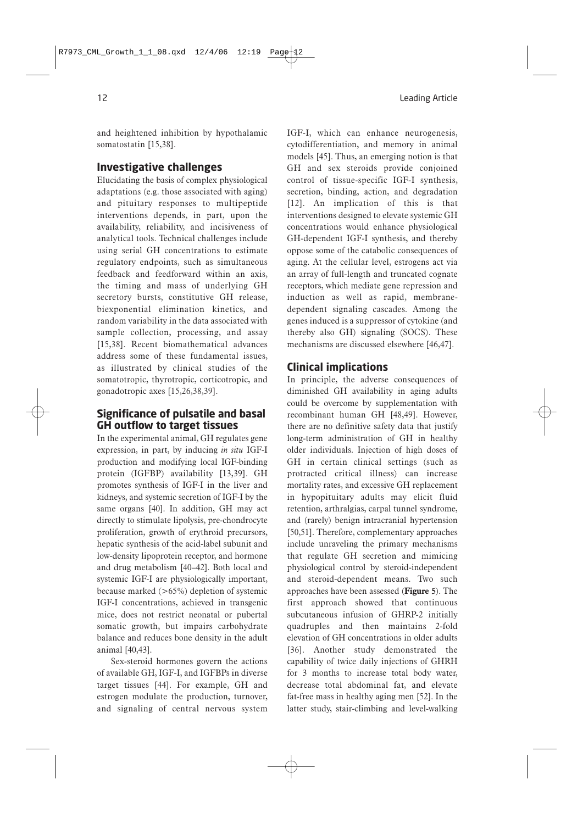and heightened inhibition by hypothalamic somatostatin [15,38].

#### **Investigative challenges**

Elucidating the basis of complex physiological adaptations (e.g. those associated with aging) and pituitary responses to multipeptide interventions depends, in part, upon the availability, reliability, and incisiveness of analytical tools. Technical challenges include using serial GH concentrations to estimate regulatory endpoints, such as simultaneous feedback and feedforward within an axis, the timing and mass of underlying GH secretory bursts, constitutive GH release, biexponential elimination kinetics, and random variability in the data associated with sample collection, processing, and assay [15,38]. Recent biomathematical advances address some of these fundamental issues, as illustrated by clinical studies of the somatotropic, thyrotropic, corticotropic, and gonadotropic axes [15,26,38,39].

#### **Significance of pulsatile and basal GH outflow to target tissues**

In the experimental animal, GH regulates gene expression, in part, by inducing *in situ* IGF-I production and modifying local IGF-binding protein (IGFBP) availability [13,39]. GH promotes synthesis of IGF-I in the liver and kidneys, and systemic secretion of IGF-I by the same organs [40]. In addition, GH may act directly to stimulate lipolysis, pre-chondrocyte proliferation, growth of erythroid precursors, hepatic synthesis of the acid-label subunit and low-density lipoprotein receptor, and hormone and drug metabolism [40–42]. Both local and systemic IGF-I are physiologically important, because marked (>65%) depletion of systemic IGF-I concentrations, achieved in transgenic mice, does not restrict neonatal or pubertal somatic growth, but impairs carbohydrate balance and reduces bone density in the adult animal [40,43].

Sex-steroid hormones govern the actions of available GH, IGF-I, and IGFBPs in diverse target tissues [44]. For example, GH and estrogen modulate the production, turnover, and signaling of central nervous system IGF-I, which can enhance neurogenesis, cytodifferentiation, and memory in animal models [45]. Thus, an emerging notion is that GH and sex steroids provide conjoined control of tissue-specific IGF-I synthesis, secretion, binding, action, and degradation [12]. An implication of this is that interventions designed to elevate systemic GH concentrations would enhance physiological GH-dependent IGF-I synthesis, and thereby oppose some of the catabolic consequences of aging. At the cellular level, estrogens act via an array of full-length and truncated cognate receptors, which mediate gene repression and induction as well as rapid, membranedependent signaling cascades. Among the genes induced is a suppressor of cytokine (and thereby also GH) signaling (SOCS). These mechanisms are discussed elsewhere [46,47].

#### **Clinical implications**

In principle, the adverse consequences of diminished GH availability in aging adults could be overcome by supplementation with recombinant human GH [48,49]. However, there are no definitive safety data that justify long-term administration of GH in healthy older individuals. Injection of high doses of GH in certain clinical settings (such as protracted critical illness) can increase mortality rates, and excessive GH replacement in hypopituitary adults may elicit fluid retention, arthralgias, carpal tunnel syndrome, and (rarely) benign intracranial hypertension [50,51]. Therefore, complementary approaches include unraveling the primary mechanisms that regulate GH secretion and mimicing physiological control by steroid-independent and steroid-dependent means. Two such approaches have been assessed (**Figure 5**). The first approach showed that continuous subcutaneous infusion of GHRP-2 initially quadruples and then maintains 2-fold elevation of GH concentrations in older adults [36]. Another study demonstrated the capability of twice daily injections of GHRH for 3 months to increase total body water, decrease total abdominal fat, and elevate fat-free mass in healthy aging men [52]. In the latter study, stair-climbing and level-walking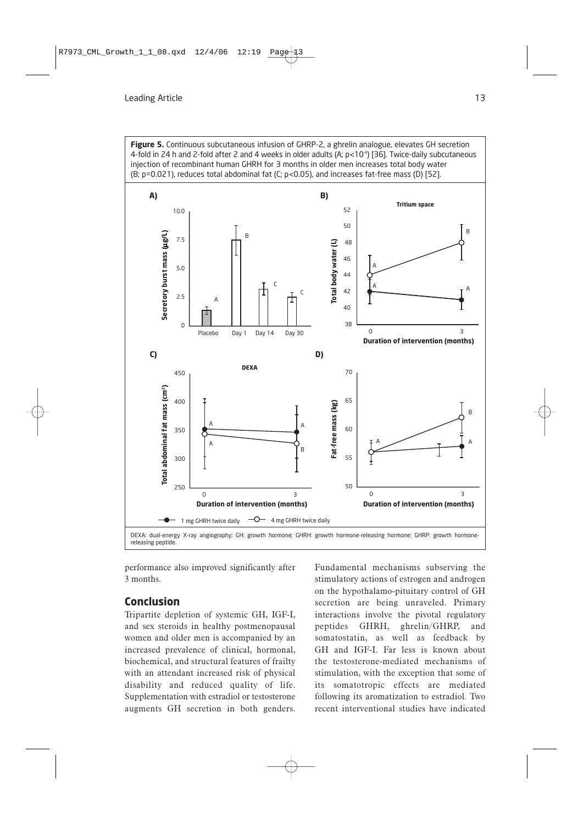**Figure 5.** Continuous subcutaneous infusion of GHRP-2, a ghrelin analogue, elevates GH secretion 4-fold in 24 h and 2-fold after 2 and 4 weeks in older adults (A;  $p<10^{-4}$ ) [36]. Twice-daily subcutaneous injection of recombinant human GHRH for 3 months in older men increases total body water (B; p=0.021), reduces total abdominal fat (C; p<0.05), and increases fat-free mass (D) [52].



performance also improved significantly after 3 months.

### **Conclusion**

Tripartite depletion of systemic GH, IGF-I, and sex steroids in healthy postmenopausal women and older men is accompanied by an increased prevalence of clinical, hormonal, biochemical, and structural features of frailty with an attendant increased risk of physical disability and reduced quality of life. Supplementation with estradiol or testosterone augments GH secretion in both genders.

Fundamental mechanisms subserving the stimulatory actions of estrogen and androgen on the hypothalamo-pituitary control of GH secretion are being unraveled. Primary interactions involve the pivotal regulatory peptides GHRH, ghrelin/GHRP, and somatostatin, as well as feedback by GH and IGF-I. Far less is known about the testosterone-mediated mechanisms of stimulation, with the exception that some of its somatotropic effects are mediated following its aromatization to estradiol. Two recent interventional studies have indicated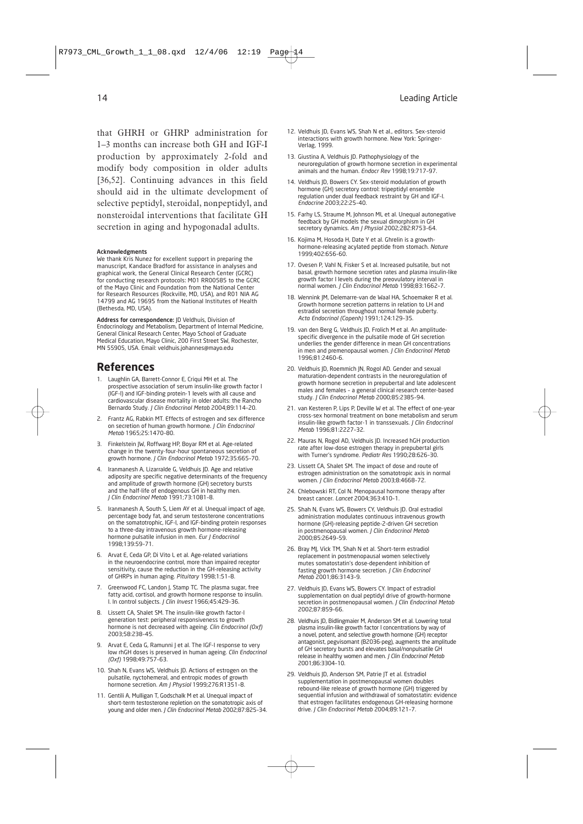that GHRH or GHRP administration for 1–3 months can increase both GH and IGF-I production by approximately 2-fold and modify body composition in older adults [36,52]. Continuing advances in this field should aid in the ultimate development of selective peptidyl, steroidal, nonpeptidyl, and nonsteroidal interventions that facilitate GH secretion in aging and hypogonadal adults.

#### Acknowledgments

We thank Kris Nunez for excellent support in preparing the manuscript, Kandace Bradford for assistance in analyses and graphical work, the General Clinical Research Center (GCRC) for conducting research protocols: M01 RR00585 to the GCRC of the Mayo Clinic and Foundation from the National Center for Research Resources (Rockville, MD, USA), and R01 NIA AG 14799 and AG 19695 from the National Institutes of Health (Bethesda, MD, USA).

Address for correspondence: JD Veldhuis, Division of Endocrinology and Metabolism, Department of Internal Medicine, General Clinical Research Center, Mayo School of Graduate Medical Education, Mayo Clinic, 200 First Street SW, Rochester, MN 55905, USA. Email: veldhuis.johannes@mayo.edu

#### **References**

- 1. Laughlin GA, Barrett-Connor E, Criqui MH et al. The prospective association of serum insulin-like growth factor I (IGF-I) and IGF-binding protein-1 levels with all cause and cardiovascular disease mortality in older adults: the Rancho Bernardo Study. *J Clin Endocrinol Metab* 2004;89:114–20.
- 2. Frantz AG, Rabkin MT. Effects of estrogen and sex difference on secretion of human growth hormone. *J Clin Endocrinol Metab* 1965;25:1470–80.
- 3. Finkelstein JW, Roffwarg HP, Boyar RM et al. Age-related change in the twenty-four-hour spontaneous secretion of growth hormone. *J Clin Endocrinol Metab* 1972;35:665–70.
- 4. Iranmanesh A, Lizarralde G, Veldhuis JD. Age and relative adiposity are specific negative determinants of the frequency and amplitude of growth hormone (GH) secretory bursts and the half-life of endogenous GH in healthy men. *J Clin Endocrinol Metab* 1991;73:1081–8.
- 5. Iranmanesh A, South S, Liem AY et al. Unequal impact of age, percentage body fat, and serum testosterone concentrations on the somatotrophic, IGF-I, and IGF-binding protein responses to a three-day intravenous growth hormone-releasing hormone pulsatile infusion in men. *Eur J Endocrinol* 1998;139:59–71.
- 6. Arvat E, Ceda GP, Di Vito L et al. Age-related variations in the neuroendocrine control, more than impaired receptor sensitivity, cause the reduction in the GH-releasing activity of GHRPs in human aging. *Pituitary* 1998;1:51–8.
- 7. Greenwood FC, Landon J, Stamp TC. The plasma sugar, free fatty acid, cortisol, and growth hormone response to insulin. I. In control subjects. *J Clin Invest* 1966;45:429–36.
- 8. Lissett CA, Shalet SM. The insulin-like growth factor-I generation test: peripheral responsiveness to growth hormone is not decreased with ageing. *Clin Endocrinol (Oxf)* 2003;58:238–45.
- 9. Arvat E, Ceda G, Ramunni | et al. The IGF-I response to very low rhGH doses is preserved in human ageing. *Clin Endocrinol (Oxf)* 1998;49:757–63.
- 10. Shah N, Evans WS, Veldhuis JD. Actions of estrogen on the pulsatile, nyctohemeral, and entropic modes of growth hormone secretion. *Am J Physiol* 1999;276:R1351–8.
- 11. Gentili A, Mulligan T, Godschalk M et al. Unequal impact of short-term testosterone repletion on the somatotropic axis of young and older men. *J Clin Endocrinol Metab* 2002;87:825–34.
- 12. Veldhuis JD, Evans WS, Shah N et al., editors. Sex-steroid interactions with growth hormone. New York: Springer-Verlag, 1999.
- 13. Giustina A, Veldhuis JD. Pathophysiology of the neuroregulation of growth hormone secretion in experimental animals and the human. *Endocr Rev* 1998;19:717–97.
- 14. Veldhuis JD, Bowers CY. Sex-steroid modulation of growth hormone (GH) secretory control: tripeptidyl ensemble regulation under dual feedback restraint by GH and IGF-I. *Endocrine* 2003;22:25–40.
- 15. Farhy LS, Straume M, Johnson ML et al. Unequal autonegative feedback by GH models the sexual dimorphism in GH secretory dynamics. *Am J Physiol* 2002;282:R753–64.
- 16. Kojima M, Hosoda H, Date Y et al. Ghrelin is a growthhormone-releasing acylated peptide from stomach. *Nature* 1999;402:656–60.
- 17. Ovesen P, Vahl N, Fisker S et al. Increased pulsatile, but not basal, growth hormone secretion rates and plasma insulin-like growth factor I levels during the preovulatory interval in normal women. *J Clin Endocrinol Metab* 1998;83:1662–7.
- 18. Wennink JM, Delemarre-van de Waal HA, Schoemaker R et al. Growth hormone secretion patterns in relation to LH and estradiol secretion throughout normal female puberty. *Acta Endocrinol (Copenh)* 1991;124:129–35.
- 19. van den Berg G, Veldhuis JD, Frolich M et al. An amplitudespecific divergence in the pulsatile mode of GH secretion underlies the gender difference in mean GH concentrations in men and premenopausal women. *J Clin Endocrinol Metab* 1996;81:2460–6.
- 20. Veldhuis JD, Roemmich JN, Rogol AD. Gender and sexual maturation-dependent contrasts in the neuroregulation of growth hormone secretion in prepubertal and late adolescent males and females – a general clinical research center-based study. *J Clin Endocrinol Metab* 2000;85:2385–94.
- 21. van Kesteren P, Lips P, Deville W et al. The effect of one-year cross-sex hormonal treatment on bone metabolism and serum insulin-like growth factor-1 in transsexuals. *J Clin Endocrinol Metab* 1996;81:2227–32.
- 22. Mauras N, Rogol AD, Veldhuis JD. Increased hGH production rate after low-dose estrogen therapy in prepubertal girls with Turner's syndrome. *Pediatr Res* 1990;28:626–30.
- 23. Lissett CA, Shalet SM. The impact of dose and route of estrogen administration on the somatotropic axis in normal women. *J Clin Endocrinol Metab* 2003;8:4668–72.
- 24. Chlebowski RT, Col N. Menopausal hormone therapy after breast cancer. *Lancet* 2004;363:410–1.
- 25. Shah N, Evans WS, Bowers CY, Veldhuis JD. Oral estradiol administration modulates continuous intravenous growth hormone (GH)-releasing peptide-2-driven GH secretion in postmenopausal women. *J Clin Endocrinol Metab* 2000;85:2649–59.
- 26. Bray MJ, Vick TM, Shah N et al. Short-term estradiol replacement in postmenopausal women selectively mutes somatostatin's dose-dependent inhibition of fasting growth hormone secretion. *J Clin Endocrinol Metab* 2001;86:3143–9.
- 27. Veldhuis JD, Evans WS, Bowers CY. Impact of estradiol supplementation on dual peptidyl drive of growth-hormone secretion in postmenopausal women. *J Clin Endocrinol Metab* 2002;87:859–66.
- 28. Veldhuis JD, Bidlingmaier M, Anderson SM et al. Lowering total plasma insulin-like growth factor I concentrations by way of a novel, potent, and selective growth hormone (GH) receptor antagonist, pegvisomant (B2036-peg), augments the amplitude of GH secretory bursts and elevates basal/nonpulsatile GH release in healthy women and men. *J Clin Endocrinol Metab* 2001;86:3304–10.
- 29. Veldhuis JD, Anderson SM, Patrie JT et al. Estradiol supplementation in postmenopausal women doubles rebound-like release of growth hormone (GH) triggered by sequential infusion and withdrawal of somatostatin: evidence that estrogen facilitates endogenous GH-releasing hormone drive. *J Clin Endocrinol Metab* 2004;89:121–7.